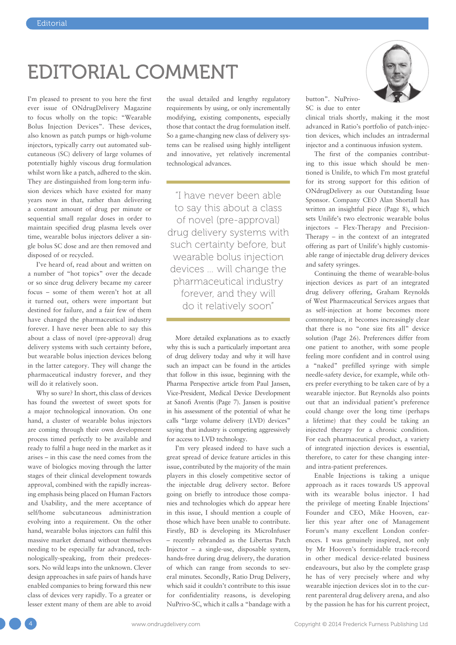## EDITORIAL COMMENT

I'm pleased to present to you here the first ever issue of ONdrugDelivery Magazine to focus wholly on the topic: "Wearable Bolus Injection Devices". These devices, also known as patch pumps or high-volume injectors, typically carry out automated subcutaneous (SC) delivery of large volumes of potentially highly viscous drug formulation whilst worn like a patch, adhered to the skin. They are distinguished from long-term infusion devices which have existed for many years now in that, rather than delivering a constant amount of drug per minute or sequential small regular doses in order to maintain specified drug plasma levels over time, wearable bolus injectors deliver a single bolus SC dose and are then removed and disposed of or recycled.

I've heard of, read about and written on a number of "hot topics" over the decade or so since drug delivery became my career focus – some of them weren't hot at all it turned out, others were important but destined for failure, and a fair few of them have changed the pharmaceutical industry forever. I have never been able to say this about a class of novel (pre-approval) drug delivery systems with such certainty before, but wearable bolus injection devices belong in the latter category. They will change the pharmaceutical industry forever, and they will do it relatively soon.

Why so sure? In short, this class of devices has found the sweetest of sweet spots for a major technological innovation. On one hand, a cluster of wearable bolus injectors are coming through their own development process timed perfectly to be available and ready to fulfil a huge need in the market as it arises – in this case the need comes from the wave of biologics moving through the latter stages of their clinical development towards approval, combined with the rapidly increasing emphasis being placed on Human Factors and Usability, and the mere acceptance of self/home subcutaneous administration evolving into a requirement. On the other hand, wearable bolus injectors can fulfil this massive market demand without themselves needing to be especially far advanced, technologically-speaking, from their predecessors. No wild leaps into the unknown. Clever design approaches in safe pairs of hands have enabled companies to bring forward this new class of devices very rapidly. To a greater or lesser extent many of them are able to avoid

the usual detailed and lengthy regulatory requirements by using, or only incrementally modifying, existing components, especially those that contact the drug formulation itself. So a game-changing new class of delivery systems can be realised using highly intelligent and innovative, yet relatively incremental technological advances.

"I have never been able to say this about a class of novel (pre-approval) drug delivery systems with such certainty before, but wearable bolus injection devices … will change the pharmaceutical industry forever, and they will do it relatively soon"

More detailed explanations as to exactly why this is such a particularly important area of drug delivery today and why it will have such an impact can be found in the articles that follow in this issue, beginning with the Pharma Perspective article from Paul Jansen, Vice-President, Medical Device Development at Sanofi Aventis (Page 7). Jansen is positive in his assessment of the potential of what he calls "large volume delivery (LVD) devices" saying that industry is competing aggressively for access to LVD technology.

I'm very pleased indeed to have such a great spread of device feature articles in this issue, contributed by the majority of the main players in this closely competitive sector of the injectable drug delivery sector. Before going on briefly to introduce those companies and technologies which do appear here in this issue, I should mention a couple of those which have been unable to contribute. Firstly, BD is developing its MicroInfuser – recently rebranded as the Libertas Patch Injector – a single-use, disposable system, hands-free during drug delivery, the duration of which can range from seconds to several minutes. Secondly, Ratio Drug Delivery, which said it couldn't contribute to this issue for confidentiality reasons, is developing NuPrivo-SC, which it calls a "bandage with a

button". NuPrivo-SC is due to enter

clinical trials shortly, making it the most advanced in Ratio's portfolio of patch-injection devices, which includes an intradermal injector and a continuous infusion system.

The first of the companies contributing to this issue which should be mentioned is Unilife, to which I'm most grateful for its strong support for this edition of ONdrugDelivery as our Outstanding Issue Sponsor. Company CEO Alan Shortall has written an insightful piece (Page 8), which sets Unilife's two electronic wearable bolus injectors – Flex-Therapy and Precision-Therapy – in the context of an integrated offering as part of Unilife's highly customisable range of injectable drug delivery devices and safety syringes.

Continuing the theme of wearable-bolus injection devices as part of an integrated drug delivery offering, Graham Reynolds of West Pharmaceutical Services argues that as self-injection at home becomes more commonplace, it becomes increasingly clear that there is no "one size fits all" device solution (Page 26). Preferences differ from one patient to another, with some people feeling more confident and in control using a "naked" prefilled syringe with simple needle-safety device, for example, while others prefer everything to be taken care of by a wearable injector. But Reynolds also points out that an individual patient's preference could change over the long time (perhaps a lifetime) that they could be taking an injected therapy for a chronic condition. For each pharmaceutical product, a variety of integrated injection devices is essential, therefore, to cater for these changing interand intra-patient preferences.

Enable Injections is taking a unique approach as it races towards US approval with its wearable bolus injector. I had the privilege of meeting Enable Injections' Founder and CEO, Mike Hooven, earlier this year after one of Management Forum's many excellent London conferences. I was genuinely inspired, not only by Mr Hooven's formidable track-record in other medical device-related business endeavours, but also by the complete grasp he has of very precisely where and why wearable injection devices slot in to the current parenteral drug delivery arena, and also by the passion he has for his current project,